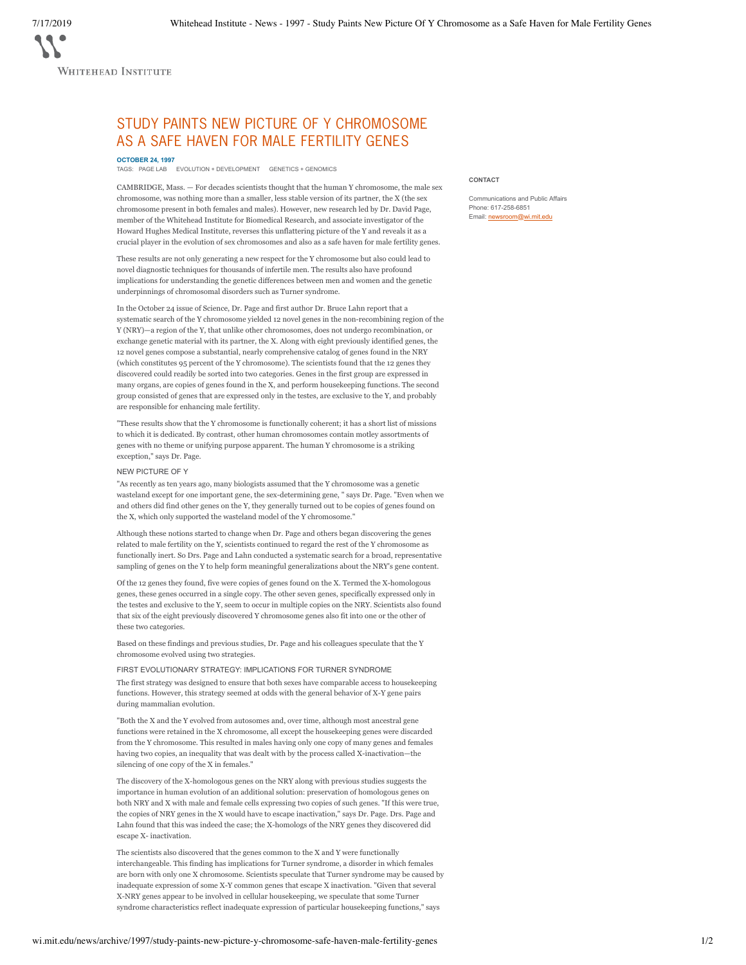WHITEHEAD INSTITUTE

# STUDY PAINTS NEW PICTURE OF Y CHROMOSOME AS A SAFE HAVEN FOR MALE FERTILITY GENES

**OCTOBER 24, 1997**

TAGS: PAGE LAB EVOLUTION + DEVELOPMENT GENETICS + GENOMICS

CAMBRIDGE, Mass. — For decades scientists thought that the human Y chromosome, the male sex chromosome, was nothing more than a smaller, less stable version of its partner, the X (the sex chromosome present in both females and males). However, new research led by Dr. David Page, member of the Whitehead Institute for Biomedical Research, and associate investigator of the Howard Hughes Medical Institute, reverses this unflattering picture of the Y and reveals it as a crucial player in the evolution of sex chromosomes and also as a safe haven for male fertility genes.

These results are not only generating a new respect for the Y chromosome but also could lead to novel diagnostic techniques for thousands of infertile men. The results also have profound implications for understanding the genetic differences between men and women and the genetic underpinnings of chromosomal disorders such as Turner syndrome.

In the October 24 issue of Science, Dr. Page and first author Dr. Bruce Lahn report that a systematic search of the Y chromosome yielded 12 novel genes in the non-recombining region of the Y (NRY)—a region of the Y, that unlike other chromosomes, does not undergo recombination, or exchange genetic material with its partner, the X. Along with eight previously identified genes, the 12 novel genes compose a substantial, nearly comprehensive catalog of genes found in the NRY (which constitutes 95 percent of the Y chromosome). The scientists found that the 12 genes they discovered could readily be sorted into two categories. Genes in the first group are expressed in many organs, are copies of genes found in the X, and perform housekeeping functions. The second group consisted of genes that are expressed only in the testes, are exclusive to the Y, and probably are responsible for enhancing male fertility.

"These results show that the Y chromosome is functionally coherent; it has a short list of missions to which it is dedicated. By contrast, other human chromosomes contain motley assortments of genes with no theme or unifying purpose apparent. The human Y chromosome is a striking exception," says Dr. Page.

## NEW PICTURE OF Y

"As recently as ten years ago, many biologists assumed that the Y chromosome was a genetic wasteland except for one important gene, the sex-determining gene, " says Dr. Page. "Even when we and others did find other genes on the Y, they generally turned out to be copies of genes found on the X, which only supported the wasteland model of the Y chromosome."

Although these notions started to change when Dr. Page and others began discovering the genes related to male fertility on the Y, scientists continued to regard the rest of the Y chromosome as functionally inert. So Drs. Page and Lahn conducted a systematic search for a broad, representative sampling of genes on the Y to help form meaningful generalizations about the NRY's gene content.

Of the 12 genes they found, five were copies of genes found on the X. Termed the X-homologous genes, these genes occurred in a single copy. The other seven genes, specifically expressed only in the testes and exclusive to the Y, seem to occur in multiple copies on the NRY. Scientists also found that six of the eight previously discovered Y chromosome genes also fit into one or the other of these two categories.

Based on these findings and previous studies, Dr. Page and his colleagues speculate that the Y chromosome evolved using two strategies.

FIRST EVOLUTIONARY STRATEGY: IMPLICATIONS FOR TURNER SYNDROME

The first strategy was designed to ensure that both sexes have comparable access to housekeeping functions. However, this strategy seemed at odds with the general behavior of X-Y gene pairs during mammalian evolution.

"Both the X and the Y evolved from autosomes and, over time, although most ancestral gene functions were retained in the X chromosome, all except the housekeeping genes were discarded from the Y chromosome. This resulted in males having only one copy of many genes and females having two copies, an inequality that was dealt with by the process called X-inactivation—the silencing of one copy of the X in females."

The discovery of the X-homologous genes on the NRY along with previous studies suggests the importance in human evolution of an additional solution: preservation of homologous genes on both NRY and X with male and female cells expressing two copies of such genes. "If this were true, the copies of NRY genes in the X would have to escape inactivation," says Dr. Page. Drs. Page and Lahn found that this was indeed the case; the X-homologs of the NRY genes they discovered did escape X- inactivation.

The scientists also discovered that the genes common to the X and Y were functionally interchangeable. This finding has implications for Turner syndrome, a disorder in which females are born with only one X chromosome. Scientists speculate that Turner syndrome may be caused by inadequate expression of some X-Y common genes that escape X inactivation. "Given that several X-NRY genes appear to be involved in cellular housekeeping, we speculate that some Turner syndrome characteristics reflect inadequate expression of particular housekeeping functions," says

#### **CONTACT**

Communications and Public Affairs Phone: 617-258-6851 Email: newsroom@wi.mit.edu